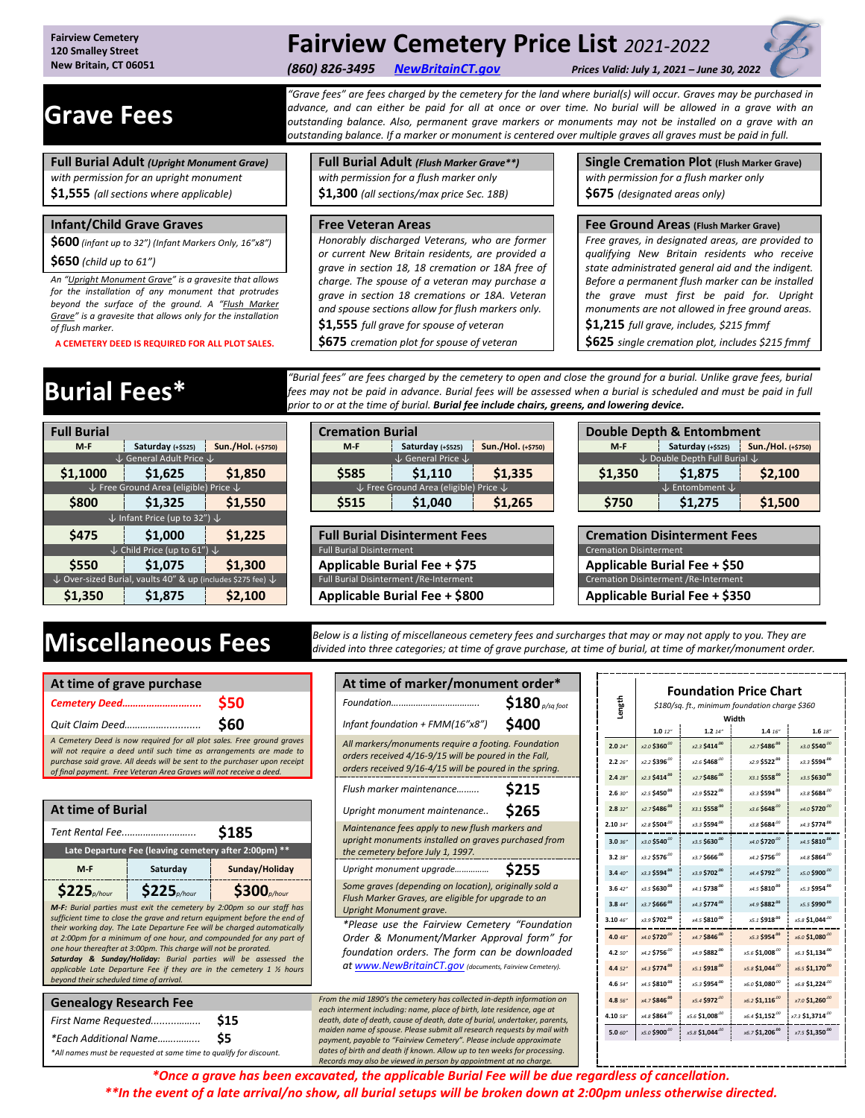**Grave Fees**

# **Fairview Cemetery Price List** *2021-2022*

*(860) 826-3495 [NewBritainCT.gov](http://www.newbritainct.gov/) Prices Valid: July 1, 2021 – June 30, 2022*

*with permission for a flush marker only* **\$1,300** *(all sections/max price Sec. 18B)*

*or current New Britain residents, are provided a grave in section 18, 18 cremation or 18A free of charge. The spouse of a veteran may purchase a grave in section 18 cremations or 18A. Veteran and spouse sections allow for flush markers only.* 

*with permission for a flush marker only* **\$675** *(designated areas only)*

*Free graves, in designated areas, are provided to qualifying New Britain residents who receive state administrated general aid and the indigent. Before a permanent flush marker can be installed the grave must first be paid for. Upright monuments are not allowed in free ground areas.*

*"Grave fees" are fees charged by the cemetery for the land where burial(s) will occur. Graves may be purchased in advance, and can either be paid for all at once or over time. No burial will be allowed in a grave with an outstanding balance. Also, permanent grave markers or monuments may not be installed on a grave with an outstanding balance. If a marker or monument is centered over multiple graves all graves must be paid in full.* 

**Full Burial Adult** *(Flush Marker Grave\*\*)* **Single Cremation Plot** (Flush Marker Grave)

| <b>Full Burial Adult (Upright Monument Grave)</b> |
|---------------------------------------------------|
| with permission for an upright monument           |
| $$1,555$ (all sections where applicable)          |

## **Infant/Child Grave Graves Free Veteran Areas Free Veteran Areas FREE Ground Areas** (Flush Marker Grave)

**\$600** *(infant up to 32") (Infant Markers Only, 16"x8") Honorably discharged Veterans, who are former* 

**\$650** *(child up to 61")*

*An "Upright Monument Grave" is a gravesite that allows for the installation of any monument that protrudes beyond the surface of the ground. A "Flush Marker Grave" is a gravesite that allows only for the installation of flush marker.* 

**A CEMETERY DEED IS REQUIRED FOR ALL PLOT SALES.**

**Burial Fees\*** *"Burial fees" are fees charged by the cemetery to open and close the ground for a burial. Unlike grave fees, burial fees may not be paid in advance. Burial fees will be assessed when a burial is scheduled and must be paid in full prior to or at the time of burial. Burial fee include chairs, greens, and lowering device.*

**\$1,555** *full grave for spouse of veteran* **\$1,215** *full grave, includes, \$215 fmmf*

*divided into three categories; at time of grave purchase, at time of burial, at time of marker/monument order.*

| <b>Full Burial</b> |                                                                                   |                    | <b>Cremation Burial</b>         |                                                             |                    |                               | Double Depth & Entombmen             |    |
|--------------------|-----------------------------------------------------------------------------------|--------------------|---------------------------------|-------------------------------------------------------------|--------------------|-------------------------------|--------------------------------------|----|
| $M-F$              | Saturday (+\$525)                                                                 | Sun./Hol. (+\$750) | $M-F$                           | Saturday (+\$525)                                           | Sun./Hol. (+\$750) | $M-F$                         | Saturday (+\$525)                    | Su |
|                    | $\downarrow$ General Adult Price $\downarrow$                                     |                    |                                 | $\downarrow$ General Price $\downarrow$                     |                    |                               | ↓ Double Depth Full Burial ↓         |    |
| \$1,1000           | \$1.625                                                                           | \$1,850            | \$585                           | \$1,110                                                     | \$1,335            | \$1,350                       | \$1,875                              |    |
|                    | $\downarrow$ Free Ground Area (eligible) Price $\downarrow$                       |                    |                                 | $\downarrow$ Free Ground Area (eligible) Price $\downarrow$ |                    |                               | $\downarrow$ Entombment $\downarrow$ |    |
| \$800              | \$1.325                                                                           | \$1,550            | \$515                           | \$1,040                                                     | \$1,265            | \$750                         | \$1,275                              |    |
|                    | $\downarrow$ Infant Price (up to 32") $\downarrow$                                |                    |                                 |                                                             |                    |                               |                                      |    |
| \$475              | \$1,000                                                                           | \$1,225            |                                 | <b>Full Burial Disinterment Fees</b>                        |                    |                               | <b>Cremation Disinterment Fees</b>   |    |
|                    | $\downarrow$ Child Price (up to 61") $\downarrow$                                 |                    | <b>Full Burial Disinterment</b> |                                                             |                    | <b>Cremation Disinterment</b> |                                      |    |
| \$550              | \$1.075                                                                           | \$1,300            |                                 | Applicable Burial Fee + \$75                                |                    |                               | Applicable Burial Fee + \$50         |    |
|                    | $\downarrow$ Over-sized Burial, vaults 40" & up (includes \$275 fee) $\downarrow$ |                    |                                 | Full Burial Disinterment / Re-Interment                     |                    |                               | Cremation Disinterment /Re-Interment |    |
| \$1,350            | \$1.875                                                                           | \$2,100            |                                 | Applicable Burial Fee + \$800                               |                    |                               | Applicable Burial Fee + \$350        |    |

| <b>Full Burial</b>                                          |                                               |                    |                                                             | <b>Cremation Burial</b> |                    |                                                    |                                      | Double Depth & Entombment |                    |
|-------------------------------------------------------------|-----------------------------------------------|--------------------|-------------------------------------------------------------|-------------------------|--------------------|----------------------------------------------------|--------------------------------------|---------------------------|--------------------|
| $M-F$                                                       | Saturday $(+5525)$                            | Sun./Hol. (+\$750) | $M-F$                                                       | Saturday (+\$525)       | Sun./Hol. (+\$750) |                                                    | $M-F$                                | Saturday (+\$525)         | Sun./Hol. (+\$750) |
|                                                             | $\downarrow$ General Adult Price $\downarrow$ |                    | $\downarrow$ General Price $\downarrow$                     |                         |                    | $\downarrow$ Double Depth Full Burial $\downarrow$ |                                      |                           |                    |
| \$1,1000                                                    | \$1.625                                       | \$1.850            | \$585                                                       | \$1.110                 | \$1,335            |                                                    | \$1,350                              | \$1.875                   | \$2,100            |
| $\downarrow$ Free Ground Area (eligible) Price $\downarrow$ |                                               |                    | $\downarrow$ Free Ground Area (eligible) Price $\downarrow$ |                         |                    |                                                    | $\downarrow$ Entombment $\downarrow$ |                           |                    |
| \$800                                                       | \$1.325                                       | \$1.550            | <b>S515</b>                                                 | \$1.040                 | \$1,265            |                                                    | \$750                                | \$1,275                   | \$1,500            |
|                                                             | $1 + f_{n+1} - f_{n+2} = f_{n+1} - f_{n+1}$   |                    |                                                             |                         |                    |                                                    |                                      |                           |                    |

| \$1.000                                                   | \$1.225 | <b>Full Burial Disinterment Fees</b>    | <b>Cremation Disint</b>       |
|-----------------------------------------------------------|---------|-----------------------------------------|-------------------------------|
| $\downarrow$ Child Price (up to 61") $\downarrow$         |         | <b>Full Burial Disinterment</b>         | <b>Cremation Disinterment</b> |
| S <sub>1.075</sub>                                        | \$1,300 | Applicable Burial Fee + \$75            | <b>Applicable Buria</b>       |
| Burial, vaults 40" & up (includes \$275 fee) $\downarrow$ |         | Full Burial Disinterment / Re-Interment | <b>Cremation Disinterment</b> |
| \$1,875                                                   | \$2,100 | Applicable Burial Fee + \$800           | <b>Applicable Buria</b>       |

| <b>Double Depth &amp; Entombment</b>               |                                      |         |  |  |  |  |  |
|----------------------------------------------------|--------------------------------------|---------|--|--|--|--|--|
| Saturday (+\$525) Sun./Hol. (+\$750)<br>$M-F$      |                                      |         |  |  |  |  |  |
| $\downarrow$ Double Depth Full Burial $\downarrow$ |                                      |         |  |  |  |  |  |
| \$1,350                                            | \$1,875                              | \$2,100 |  |  |  |  |  |
|                                                    | $\downarrow$ Entombment $\downarrow$ |         |  |  |  |  |  |
| \$1,275<br>\$1,500<br>\$750                        |                                      |         |  |  |  |  |  |

| <b>Cremation Disinterment Fees</b>          |
|---------------------------------------------|
| <b>Cremation Disinterment</b>               |
| Applicable Burial Fee + \$50                |
| <b>Cremation Disinterment /Re-Interment</b> |
| Applicable Burial Fee + \$350               |

# **Miscellaneous Fees** *Below is a listing of miscellaneous cemetery fees and surcharges that may or may not apply to you. They are*  $\mathbf{M}$  **Miscellaneous** cemetery *fees and surcharges that may or may not apply to you. Th*

| At time of grave purchase                                                                                                                                                                                                  | At time of marker/monument order*                                                                            |
|----------------------------------------------------------------------------------------------------------------------------------------------------------------------------------------------------------------------------|--------------------------------------------------------------------------------------------------------------|
| <b>S50</b><br><b>Cemetery Deed</b>                                                                                                                                                                                         | $$180$ p/sq foot                                                                                             |
| <b>S60</b><br>Quit Claim Deed                                                                                                                                                                                              | \$400<br>Infant foundation + $FMM(16"x8")$                                                                   |
| A Cemetery Deed is now required for all plot sales. Free ground graves<br>will not require a deed until such time as arrangements are made to<br>purchase said arave. All deeds will be sent to the purchaser upon receipt | All markers/monuments require a footing. Foundation<br>orders received 4/16-9/15 will be poured in the Fall, |

| purchase said grave. All deeds will be sent to the purchaser upon receipt<br>of final payment. Free Veteran Area Graves will not receive a deed. |  |
|--------------------------------------------------------------------------------------------------------------------------------------------------|--|
|                                                                                                                                                  |  |
|                                                                                                                                                  |  |

| At time of buildi                                                     |                                                                                                                                                      |                          |  | Upright monument maintenance                                                                                  | כסגכ  |
|-----------------------------------------------------------------------|------------------------------------------------------------------------------------------------------------------------------------------------------|--------------------------|--|---------------------------------------------------------------------------------------------------------------|-------|
| \$185<br>Tent Rental Fee                                              |                                                                                                                                                      |                          |  | Maintenance fees apply to new flush markers and<br>upright monuments installed on graves purchased fron       |       |
| Late Departure Fee (leaving cemetery after 2:00pm) **                 |                                                                                                                                                      |                          |  | the cemetery before July 1, 1997.                                                                             |       |
| $M-F$                                                                 | Saturday                                                                                                                                             | Sunday/Holiday           |  | Upright monument upgrade                                                                                      | \$255 |
| $$225$ <sub>p/hour</sub>                                              | $$225$ <sub>p/hour</sub>                                                                                                                             | $$300$ <sub>p/hour</sub> |  | Some graves (depending on location), originally sold a<br>Flush Marker Graves, are eligible for upgrade to an |       |
| M-F: Burial parties must exit the cemetery by 2:00pm so our staff has |                                                                                                                                                      |                          |  | Upright Monument grave.                                                                                       |       |
|                                                                       | sufficient time to close the grave and return equipment before the end of<br>their working day. The Late Departure Fee will be charaed automatically |                          |  | *Please use the Fairview Cemetery "Foundati                                                                   |       |

| <b>Genealogy Research Fee</b>                                      |      |
|--------------------------------------------------------------------|------|
| First Name Requested                                               | \$15 |
| *Each Additional Name                                              | -S5  |
| *All names must be requested at same time to qualify for discount. |      |

|                                                                                                                                                                                                                                                                                                                                                                                                                                                                                                 | At time of grave purchase                             |                |  | At time of marker/monument order*                                                                                                                                                                        |                  |  |
|-------------------------------------------------------------------------------------------------------------------------------------------------------------------------------------------------------------------------------------------------------------------------------------------------------------------------------------------------------------------------------------------------------------------------------------------------------------------------------------------------|-------------------------------------------------------|----------------|--|----------------------------------------------------------------------------------------------------------------------------------------------------------------------------------------------------------|------------------|--|
| Cemetery Deed                                                                                                                                                                                                                                                                                                                                                                                                                                                                                   |                                                       | \$50           |  |                                                                                                                                                                                                          | $$180$ p/sq foot |  |
| \$60<br>Quit Claim Deed                                                                                                                                                                                                                                                                                                                                                                                                                                                                         |                                                       |                |  | Infant foundation + FMM(16"x8")                                                                                                                                                                          | \$400            |  |
| A Cemetery Deed is now required for all plot sales. Free ground graves<br>will not require a deed until such time as arrangements are made to<br>purchase said grave. All deeds will be sent to the purchaser upon receipt<br>of final payment. Free Veteran Area Graves will not receive a deed.                                                                                                                                                                                               |                                                       |                |  | All markers/monuments require a footing. Foundation<br>orders received 4/16-9/15 will be poured in the Fall,<br>orders received 9/16-4/15 will be poured in the spring.                                  |                  |  |
|                                                                                                                                                                                                                                                                                                                                                                                                                                                                                                 |                                                       |                |  | Flush marker maintenance                                                                                                                                                                                 | \$215            |  |
| <b>At time of Burial</b>                                                                                                                                                                                                                                                                                                                                                                                                                                                                        |                                                       |                |  | Upright monument maintenance                                                                                                                                                                             | \$265            |  |
| \$185<br>Tent Rental Fee                                                                                                                                                                                                                                                                                                                                                                                                                                                                        |                                                       |                |  | Maintenance fees apply to new flush markers and<br>upright monuments installed on graves purchased from                                                                                                  |                  |  |
|                                                                                                                                                                                                                                                                                                                                                                                                                                                                                                 | Late Departure Fee (leaving cemetery after 2:00pm) ** |                |  | the cemetery before July 1, 1997.                                                                                                                                                                        |                  |  |
| $M-F$                                                                                                                                                                                                                                                                                                                                                                                                                                                                                           | Saturday                                              | Sunday/Holiday |  | Upright monument upgrade                                                                                                                                                                                 | \$255            |  |
| $$225$ <sub>p/hour</sub><br>$$225$ <sub>p/hour</sub><br>\$300 <sub>p/hour</sub><br>M-F: Burial parties must exit the cemetery by 2:00pm so our staff has                                                                                                                                                                                                                                                                                                                                        |                                                       |                |  | Some graves (depending on location), originally sold a<br>Flush Marker Graves, are eligible for upgrade to an<br>Upright Monument grave.                                                                 |                  |  |
| sufficient time to close the grave and return equipment before the end of<br>their working day. The Late Departure Fee will be charged automatically<br>at 2:00pm for a minimum of one hour, and compounded for any part of<br>one hour thereafter at 3:00pm. This charge will not be prorated.<br>Saturday & Sunday/Holiday: Burial parties will be assessed the<br>applicable Late Departure Fee if they are in the cemetery $1 \frac{1}{2}$ hours<br>beyond their scheduled time of arrival. |                                                       |                |  | *Please use the Fairview Cemetery "Foundation"<br>Order & Monument/Marker Approval form" for<br>foundation orders. The form can be downloaded<br>at www.NewBritainCT.gov (documents, Fairview Cemetery). |                  |  |

**Genealogy Research Fee** *From the mid 1890's the cemetery has collected in-depth information on* **<b>***each interment including: name, place of birth, late residence, age at* **<b>***each interment including: name, place of birth, death, date of death, cause of death, date of burial, undertaker, parents, maiden name of spouse. Please submit all research requests by mail with payment, payable to "Fairview Cemetery". Please include approximate dates of birth and death if known. Allow up to ten weeks for processing. Records may also be viewed in person by appointment at no charge.* 

| Length   | <b>Foundation Price Chart</b><br>\$180/sq. ft., minimum foundation charge \$360 |                           |                             |                              |  |  |  |  |
|----------|---------------------------------------------------------------------------------|---------------------------|-----------------------------|------------------------------|--|--|--|--|
|          |                                                                                 | Width                     |                             |                              |  |  |  |  |
|          | 1.0 12 <sup>o</sup>                                                             | 1.214''                   | 1.416''                     | 1.618''                      |  |  |  |  |
| 2.024''  | x2.0 \$360 <sup>.00</sup>                                                       | x2.3 \$414.00             | x2.7\$486.00                | x3.0 \$540 <sup>00</sup>     |  |  |  |  |
| 2.226''  | x2.2 \$396.00                                                                   | x2.6 \$468 <sup>.00</sup> | x2.9 \$522.00               | x3.3 \$594.00                |  |  |  |  |
| 2.428°   | x2.3 \$414.00                                                                   | x2.7 \$486.00             | X3.1 \$558.00               | x3.5 \$630.00                |  |  |  |  |
| 2.630''  | x2.5 \$450.00                                                                   | x2.9 \$522.00             | x3.3 \$594.00               | x3.8 \$684 <sup>.00</sup>    |  |  |  |  |
| 2.832''  | x2.7 \$486.00                                                                   | X3.1 \$558.00             | x3.6 \$648.00               | x4.0 \$720 <sup>.00</sup>    |  |  |  |  |
| 2.10 34" | x2.8 \$504.00                                                                   | x3.3 \$594.00             | x3.8 \$684.00               | x4.3 \$774.00                |  |  |  |  |
| 3.036''  | x3.0 \$540.00                                                                   | x3.5 \$630.00             | x4.0 \$720.00               | x4.5 \$810.00                |  |  |  |  |
| 3.238''  | x3.2 \$576.00                                                                   | x3.7 \$666.00             | x4.2 \$756.00               | x4.8 \$864.00                |  |  |  |  |
| 3.440''  | x3.3 \$594.00                                                                   | x3.9 \$702.00             | x4.4 \$792.00               | x5.0 \$900 <sup>.00</sup>    |  |  |  |  |
| 3.642''  | x3.5 \$630 <sup>.00</sup>                                                       | x4.1 \$738.00             | x4.5 \$810.00               | x5.3 \$954.00                |  |  |  |  |
| 3.8 44"  | x3.7 \$666.00                                                                   | x4.3 \$774.00             | x4.9 \$882.00               | x5.5 \$990.00                |  |  |  |  |
| 3.10 46" | x3.9 \$702.00                                                                   | $x4.5$ \$810 $^{00}$      | x5.1 \$918.00               | $x5.8$ \$1,044 $^{.00}$      |  |  |  |  |
| 4.0 48"  | x4.0 \$720.00                                                                   | x4.7 \$846.00             | x5.3 \$954.00               | x6.0 \$1,080.00              |  |  |  |  |
| 4.250''  | x4.2 \$756.00                                                                   | x4.9 \$882.00             | x5.6 \$1,008.00             | x6.3 \$1,134.00              |  |  |  |  |
| 4.4 52"  | x4.3 \$774.00                                                                   | x5.1 \$918-00             | x5.8 \$1,044.00             | x6.5 \$1,170.00              |  |  |  |  |
| 4.6 54"  | x4.5 \$810.00                                                                   | x5.3 \$954.00             | x6.0 \$1,080 <sup>.00</sup> | x6.8 \$1,224.00              |  |  |  |  |
| 4.855    | x4.7 \$846.00                                                                   | x5.4 \$972.00             | x6.2 \$1,116.00             | x7.0 \$1,260.00              |  |  |  |  |
| 4.10 58" | x4.8 \$864.00                                                                   | $x5.6$ \$1,008 $^{.00}$   | $x6.4$ \$1,152 $^{00}$      | x7.3 \$1,3714 <sup>.00</sup> |  |  |  |  |
| 5.060    | $x5.0$ \$900 $^{00}$                                                            | x5.8 \$1,044.00           | x6.7 \$1,206.00             | x7.5 \$1,350.00              |  |  |  |  |
|          |                                                                                 |                           |                             |                              |  |  |  |  |

*\*Once a grave has been excavated, the applicable Burial Fee will be due regardless of cancellation. \*\*In the event of a late arrival/no show, all burial setups will be broken down at 2:00pm unless otherwise directed.*

# **\$675** *cremation plot for spouse of veteran* **\$625** *single cremation plot, includes \$215 fmmf*

| ground graves<br>are made to<br>r upon receipt<br>a deed. | All markers/monuments require a fo<br>orders received 4/16-9/15 will be po<br>orders received 9/16-4/15 will be po |
|-----------------------------------------------------------|--------------------------------------------------------------------------------------------------------------------|
|                                                           |                                                                                                                    |